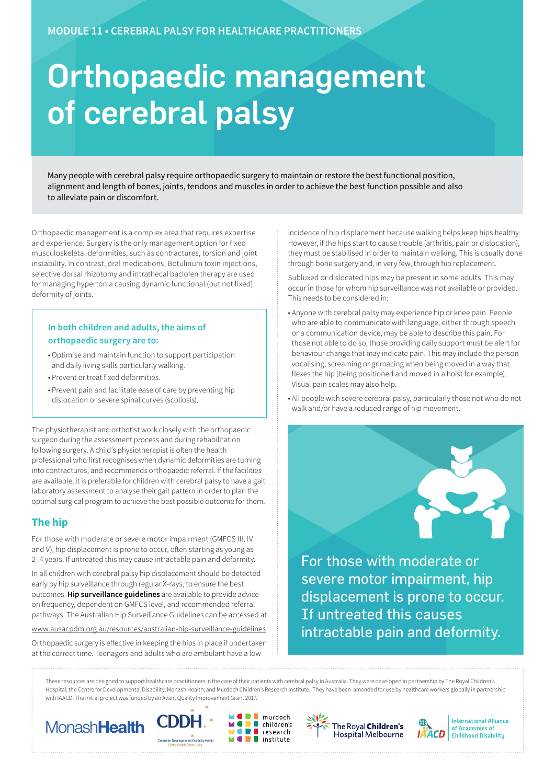# Orthopaedic management of cerebral palsy

Many people with cerebral palsy require orthopaedic surgery to maintain or restore the best functional position, alignment and length of bones, joints, tendons and muscles in order to achieve the best function possible and also to alleviate pain or discomfort.

Orthopaedic management is a complex area that requires expertise and experience. Surgery is the only management option for fixed musculoskeletal deformities, such as contractures, torsion and joint instability. In contrast, oral medications, Botulinum toxin injections, selective dorsal rhizotomy and intrathecal baclofen therapy are used for managing hypertonia causing dynamic functional (but not fixed) deformity of joints.

#### **In both children and adults, the aims of orthopaedic surgery are to:**

- Optimise and maintain function to support participation and daily living skills particularly walking.
- Prevent or treat fixed deformities.
- Prevent pain and facilitate ease of care by preventing hip dislocation or severe spinal curves (scoliosis).

The physiotherapist and orthotist work closely with the orthopaedic surgeon during the assessment process and during rehabilitation following surgery. A child's physiotherapist is often the health professional who first recognises when dynamic deformities are turning into contractures, and recommends orthopaedic referral. If the facilities are available, it is preferable for children with cerebral palsy to have a gait laboratory assessment to analyse their gait pattern in order to plan the optimal surgical program to achieve the best possible outcome for them.

# **The hip**

For those with moderate or severe motor impairment (GMFCS III, IV and V), hip displacement is prone to occur, often starting as young as 2–4 years. If untreated this may cause intractable pain and deformity.

In all children with cerebral palsy hip displacement should be detected early by hip surveillance through regular X-rays, to ensure the best outcomes. **Hip surveillance guidelines** are available to provide advice on frequency, dependent on GMFCS level, and recommended referral pathways. The Australian Hip Surveillance Guidelines can be accessed at

<www.ausacpdm.org.au/resources/australian-hip-surveillance-guidelines>

Orthopaedic surgery is effective in keeping the hips in place if undertaken at the correct time. Teenagers and adults who are ambulant have a low

incidence of hip displacement because walking helps keep hips healthy. However, if the hips start to cause trouble (arthritis, pain or dislocation), they must be stabilised in order to maintain walking. This is usually done through bone surgery and, in very few, through hip replacement.

Subluxed or dislocated hips may be present in some adults. This may occur in those for whom hip surveillance was not available or provided. This needs to be considered in:

- Anyone with cerebral palsy may experience hip or knee pain. People who are able to communicate with language, either through speech or a communication device, may be able to describe this pain. For those not able to do so, those providing daily support must be alert for behaviour change that may indicate pain. This may include the person vocalising, screaming or grimacing when being moved in a way that flexes the hip (being positioned and moved in a hoist for example). Visual pain scales may also help.
- All people with severe cerebral palsy, particularly those not who do not walk and/or have a reduced range of hip movement.

For those with moderate or severe motor impairment, hip displacement is prone to occur. If untreated this causes intractable pain and deformity.

These resources are designed to support healthcare practitioners in the care of their patients with cerebral palsy in Australia. They were developed in partnership by The Royal Children's Hospital; the Centre for Developmental Disability, Monash Health; and Murdoch Children's Research Institute. They have been amended for use by healthcare workers globally in partnership with IAACD. The initial project was funded by an Avant Quality Improvement Grant 2017.

П

÷











**International Alliance** of Academies of **Childhood Disabilitu**